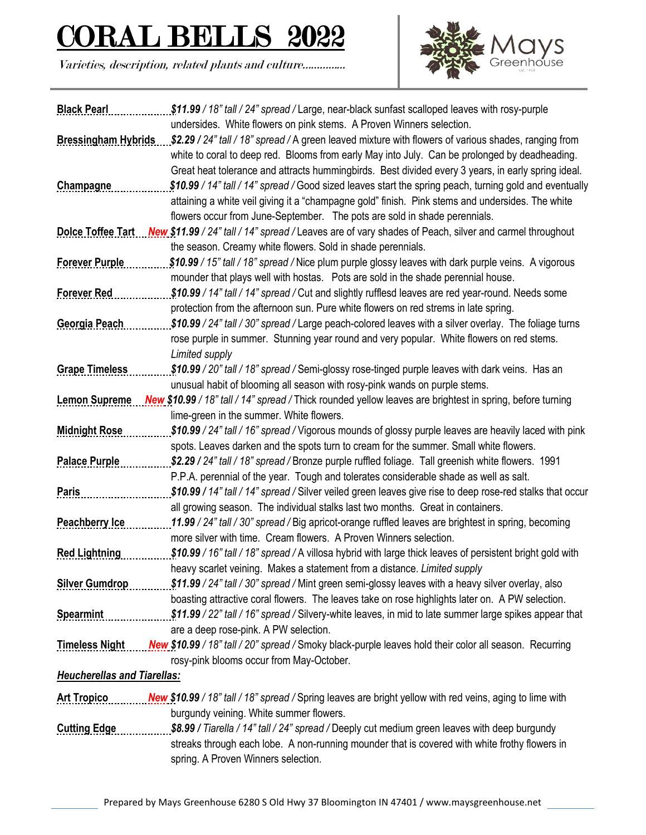## <u>L BELLS 2022</u>

Varieties, description, related plants and culture…………...



| <b>Black Pearl</b>                 | \$11.99 / 18" tall / 24" spread / Large, near-black sunfast scalloped leaves with rosy-purple                            |
|------------------------------------|--------------------------------------------------------------------------------------------------------------------------|
|                                    | undersides. White flowers on pink stems. A Proven Winners selection.                                                     |
|                                    | Bressingham Hybrids \$2.29 / 24" tall / 18" spread / A green leaved mixture with flowers of various shades, ranging from |
|                                    | white to coral to deep red. Blooms from early May into July. Can be prolonged by deadheading.                            |
|                                    | Great heat tolerance and attracts hummingbirds. Best divided every 3 years, in early spring ideal.                       |
| <b>Champagne</b>                   | \$10.99 / 14" tall / 14" spread / Good sized leaves start the spring peach, turning gold and eventually                  |
|                                    | attaining a white veil giving it a "champagne gold" finish. Pink stems and undersides. The white                         |
|                                    | flowers occur from June-September. The pots are sold in shade perennials.                                                |
| <b>Dolce Toffee Tart</b>           | New \$11.99 / 24" tall / 14" spread / Leaves are of vary shades of Peach, silver and carmel throughout                   |
|                                    | the season. Creamy white flowers. Sold in shade perennials.                                                              |
| <b>Forever Purple</b>              | \$10.99 / 15" tall / 18" spread / Nice plum purple glossy leaves with dark purple veins. A vigorous                      |
|                                    | mounder that plays well with hostas. Pots are sold in the shade perennial house.                                         |
| <b>Forever Red</b>                 | \$10.99 / 14" tall / 14" spread / Cut and slightly rufflesd leaves are red year-round. Needs some                        |
|                                    | protection from the afternoon sun. Pure white flowers on red strems in late spring.                                      |
| Georgia Peach                      | \$10.99 / 24" tall / 30" spread / Large peach-colored leaves with a silver overlay. The foliage turns                    |
|                                    | rose purple in summer. Stunning year round and very popular. White flowers on red stems.                                 |
|                                    | Limited supply                                                                                                           |
| <b>Grape Timeless</b>              | \$10.99 / 20" tall / 18" spread / Semi-glossy rose-tinged purple leaves with dark veins. Has an                          |
|                                    | unusual habit of blooming all season with rosy-pink wands on purple stems.                                               |
| <b>Lemon Supreme</b>               | New \$10.99 / 18" tall / 14" spread / Thick rounded yellow leaves are brightest in spring, before turning                |
|                                    | lime-green in the summer. White flowers.                                                                                 |
| <b>Midnight Rose</b>               | \$10.99 / 24" tall / 16" spread / Vigorous mounds of glossy purple leaves are heavily laced with pink                    |
|                                    | spots. Leaves darken and the spots turn to cream for the summer. Small white flowers.                                    |
| <b>Palace Purple</b>               | \$2.29 / 24" tall / 18" spread / Bronze purple ruffled foliage. Tall greenish white flowers. 1991                        |
|                                    | P.P.A. perennial of the year. Tough and tolerates considerable shade as well as salt.                                    |
| <b>Paris</b>                       | \$10.99 / 14" tall / 14" spread / Silver veiled green leaves give rise to deep rose-red stalks that occur                |
|                                    | all growing season. The individual stalks last two months. Great in containers.                                          |
| Peachberry Ice                     | 11.99 / 24" tall / 30" spread / Big apricot-orange ruffled leaves are brightest in spring, becoming                      |
|                                    | more silver with time. Cream flowers. A Proven Winners selection.                                                        |
| <b>Red Lightning</b>               | \$10.99 / 16" tall / 18" spread / A villosa hybrid with large thick leaves of persistent bright gold with                |
|                                    | heavy scarlet veining. Makes a statement from a distance. Limited supply                                                 |
| <b>Silver Gumdrop</b>              | \$11.99 / 24" tall / 30" spread / Mint green semi-glossy leaves with a heavy silver overlay, also                        |
|                                    | boasting attractive coral flowers. The leaves take on rose highlights later on. A PW selection.                          |
| Spearmint                          | \$11.99 / 22" tall / 16" spread / Silvery-white leaves, in mid to late summer large spikes appear that                   |
|                                    | are a deep rose-pink. A PW selection.                                                                                    |
| <b>Timeless Night</b>              | New \$10.99 / 18" tall / 20" spread / Smoky black-purple leaves hold their color all season. Recurring                   |
|                                    | rosy-pink blooms occur from May-October.                                                                                 |
| <b>Heucherellas and Tiarellas:</b> |                                                                                                                          |
| <b>Art Tropico</b>                 | New \$10.99 / 18" tall / 18" spread / Spring leaves are bright yellow with red veins, aging to lime with                 |
|                                    | burgundy veining. White summer flowers.                                                                                  |
|                                    | \$8.99 / Tiarella / 14" tall / 24" spread / Deeply cut medium green leaves with deep burgundy                            |
| <b>Cutting Edge</b>                |                                                                                                                          |
|                                    | streaks through each lobe. A non-running mounder that is covered with white frothy flowers in                            |
|                                    | spring. A Proven Winners selection.                                                                                      |